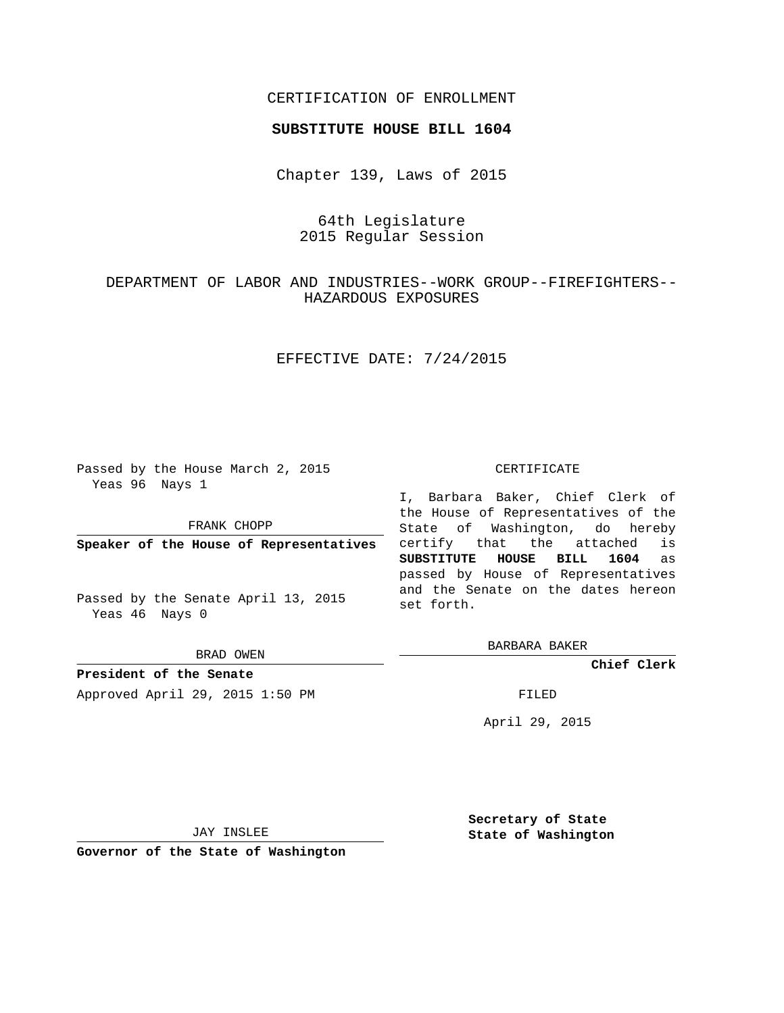## CERTIFICATION OF ENROLLMENT

#### **SUBSTITUTE HOUSE BILL 1604**

Chapter 139, Laws of 2015

## 64th Legislature 2015 Regular Session

# DEPARTMENT OF LABOR AND INDUSTRIES--WORK GROUP--FIREFIGHTERS-- HAZARDOUS EXPOSURES

## EFFECTIVE DATE: 7/24/2015

Passed by the House March 2, 2015 Yeas 96 Nays 1

FRANK CHOPP

**Speaker of the House of Representatives**

Passed by the Senate April 13, 2015 Yeas 46 Nays 0

BRAD OWEN

**President of the Senate** Approved April 29, 2015 1:50 PM FILED

#### CERTIFICATE

I, Barbara Baker, Chief Clerk of the House of Representatives of the State of Washington, do hereby certify that the attached is **SUBSTITUTE HOUSE BILL 1604** as passed by House of Representatives and the Senate on the dates hereon set forth.

BARBARA BAKER

**Chief Clerk**

April 29, 2015

JAY INSLEE

**Governor of the State of Washington**

**Secretary of State State of Washington**